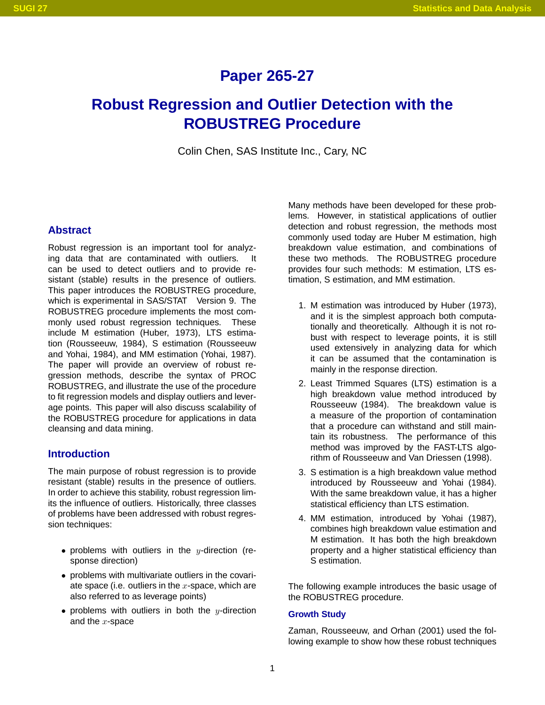# **Paper 265-27**

# **Robust Regression and Outlier Detection with the ROBUSTREG Procedure**

Colin Chen, SAS Institute Inc., Cary, NC

# **Abstract**

Robust regression is an important tool for analyzing data that are contaminated with outliers. can be used to detect outliers and to provide resistant (stable) results in the presence of outliers. This paper introduces the ROBUSTREG procedure, which is experimental in  $SAS/STAT^{®}$  Version 9. The ROBUSTREG procedure implements the most commonly used robust regression techniques. These include M estimation (Huber, 1973), LTS estimation (Rousseeuw, 1984), S estimation (Rousseeuw and Yohai, 1984), and MM estimation (Yohai, 1987). The paper will provide an overview of robust regression methods, describe the syntax of PROC ROBUSTREG, and illustrate the use of the procedure to fit regression models and display outliers and leverage points. This paper will also discuss scalability of the ROBUSTREG procedure for applications in data cleansing and data mining.

# **Introduction**

The main purpose of robust regression is to provide resistant (stable) results in the presence of outliers. In order to achieve this stability, robust regression limits the influence of outliers. Historically, three classes of problems have been addressed with robust regression techniques:

- problems with outliers in the y-direction (response direction)
- problems with multivariate outliers in the covariate space (i.e. outliers in the  $x$ -space, which are also referred to as leverage points)
- problems with outliers in both the y-direction and the  $x$ -space

Many methods have been developed for these problems. However, in statistical applications of outlier detection and robust regression, the methods most commonly used today are Huber M estimation, high breakdown value estimation, and combinations of these two methods. The ROBUSTREG procedure provides four such methods: M estimation, LTS estimation, S estimation, and MM estimation.

- 1. M estimation was introduced by Huber (1973), and it is the simplest approach both computationally and theoretically. Although it is not robust with respect to leverage points, it is still used extensively in analyzing data for which it can be assumed that the contamination is mainly in the response direction.
- 2. Least Trimmed Squares (LTS) estimation is a high breakdown value method introduced by Rousseeuw (1984). The breakdown value is a measure of the proportion of contamination that a procedure can withstand and still maintain its robustness. The performance of this method was improved by the FAST-LTS algorithm of Rousseeuw and Van Driessen (1998).
- 3. S estimation is a high breakdown value method introduced by Rousseeuw and Yohai (1984). With the same breakdown value, it has a higher statistical efficiency than LTS estimation.
- 4. MM estimation, introduced by Yohai (1987), combines high breakdown value estimation and M estimation. It has both the high breakdown property and a higher statistical efficiency than S estimation.

The following example introduces the basic usage of the ROBUSTREG procedure.

## **Growth Study**

Zaman, Rousseeuw, and Orhan (2001) used the following example to show how these robust techniques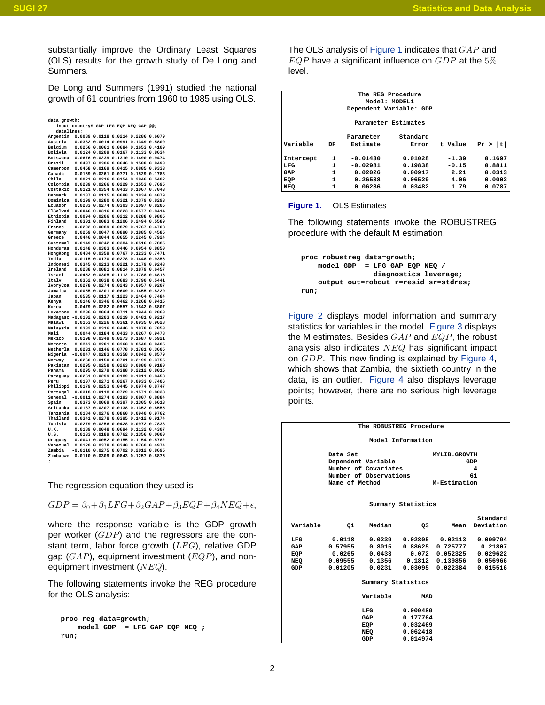substantially improve the Ordinary Least Squares (OLS) results for the growth study of De Long and Summers.

De Long and Summers (1991) studied the national growth of 61 countries from 1960 to 1985 using OLS.

| data growth;        |                                         |                  |                  |                  |                  |
|---------------------|-----------------------------------------|------------------|------------------|------------------|------------------|
|                     | input country\$ GDP LFG EQP NEQ GAP @@; |                  |                  |                  |                  |
| datalines:          |                                         |                  |                  |                  |                  |
| Argentin            | 0.0089                                  | 0.0118           | 0.0214           | 0.2286           | 0.6079           |
| Austria             | 0.0332                                  | 0.0014           | 0.0991           | 0.1349           | 0.5809           |
| Belgium             | 0.0256                                  | 0.0061           | 0.0684           | 0.1653           | 0.4109           |
| Bolivia             | 0.0124                                  | 0.0209           | 0.0167           | 0.1133           | 0.8634           |
| Botswana            | 0.0676                                  | 0.0239           | 0.1310           | 0.1490           | 0.9474           |
| Brazil              | 0.0437                                  | 0.0306           | 0.0646           | 0.1588           | 0.8498           |
| Cameroon            | 0.0458                                  | 0.0169           | 0.0415           | 0.0885           | 0.9333           |
| Canada              | 0.0169                                  | 0.0261           | 0.0771           | 0.1529           | 0.1783           |
| Chile               | 0.0021                                  | 0.0216           | 0.0154           | 0.2846           | 0.5402           |
| Colombia            | 0.0239                                  | 0.0266           | 0.0229           | 0.1553           | 0.7695           |
| CostaRic            | 0.0121                                  | 0.0354           | 0.0433           | 0.1067           | 0.7043           |
| Denmark             | 0.0187                                  | 0.0115           | 0.0688           | 0.1834           | 0.4079           |
| Dominica            | 0.0199                                  | 0.0280           | 0.0321           | 0.1379           | 0.8293           |
| Ecuador             | 0.0283                                  | 0.0274           | 0.0303           | 0.2097           | 0.8205           |
| ElSalvad            | 0.0046                                  | 0.0316           | 0.0223           | 0.0577           | 0.8414           |
| Ethiopia            | 0.0094                                  | 0.0206           | 0.0212           | 0.0288           | 0.9805           |
| Finland             | 0.0301                                  | 0.0083           | 0.1206           | 0.2494           | 0.5589           |
| France              | 0.0292                                  | 0.0089           | 0.0879           | 0.1767           | 0.4708           |
| Germany             | 0.0259                                  | 0.0047           | 0.0890           | 0.1885           | 0.4585           |
| Greece              | 0.0446                                  | 0.0044           | 0.0655           | 0.2245           | 0.7924           |
| Guatemal            | 0.0149                                  | 0.0242           | 0.0384           | 0.0516           | 0.7885           |
| Honduras            | 0.0148                                  | 0.0303           | 0.0446           | 0.0954           | 0.8850           |
| HongKong            | 0.0484<br>0.0115                        | 0.0359           | 0.0767           | 0.1233           | 0.7471<br>0.9356 |
| India               |                                         | 0.0170           | 0.0278           | 0.1448<br>0.1179 |                  |
| Indonesi<br>Ireland | 0.0345<br>0.0288                        | 0.0213<br>0.0081 | 0.0221<br>0.0814 | 0.1879           | 0.9243<br>0.6457 |
| Israel              | 0.0452                                  | 0.0305           | 0.1112           | 0.1788           | 0.6816           |
| Italy               | 0.0362                                  | 0.0038           | 0.0683           | 0.1790           | 0.5441           |
| IvoryCoa            | 0.0278                                  | 0.0274           | 0.0243           | 0.0957           | 0.9207           |
| Jamaica             | 0.0055                                  | 0.0201           | 0.0609           | 0.1455           | 0.8229           |
| Japan               | 0.0535                                  | 0.0117           | 0.1223           | 0.2464           | 0.7484           |
| Kenya               | 0.0146                                  | 0.0346           | 0.0462           | 0.1268           | 0.9415           |
| Korea               | 0.0479                                  | 0.0282           | 0.0557           | 0.1842           | 0.8807           |
| Luxembou            | 0.0236                                  | 0.0064           | 0.0711           | 0.1944           | 0.2863           |
| Madagasc            | $-0.0102$                               | 0.0203           | 0.0219           | 0.0481           | 0.9217           |
| Malawi              | 0.0153                                  | 0.0226           | 0.0361           | 0.0935           | 0.9628           |
| Malaysia            | 0.0332                                  | 0.0316           | 0.0446           | 0.1878           | 0.7853           |
| Mali                | 0.0044                                  | 0.0184           | 0.0433           | 0.0267           | 0.9478           |
| Mexico              | 0.0198                                  | 0.0349           | 0.0273           | 0.1687           | 0.5921           |
| Morocco             | 0.0243                                  | 0.0281           | 0.0260           | 0.0540           | 0.8405           |
| Netherla            | 0.0231                                  | 0.0146           | 0.0778           | 0.1781           | 0.3605           |
| Nigeria             | $-0.0047$                               | 0.0283           | 0.0358           | 0.0842           | 0.8579           |
| Norway              | 0.0260                                  | 0.0150           | 0.0701           | 0.2199           | 0.3755           |
| Pakistan            | 0.0295                                  | 0.0258           | 0.0263           | 0.0880           | 0.9180           |
| Panama              | 0.0295                                  | 0.0279           | 0.0388           | 0.2212           | 0.8015           |
| Paraguay            | 0.0261                                  | 0.0299           | 0.0189           | 0.1011           | 0.8458           |
| Peru                | 0.0107                                  | 0.0271           | 0.0267           | 0.0933           | 0.7406           |
| Philippi            | 0.0179                                  | 0.0253           | 0.0445           | 0.0974           | 0.8747           |
| Portugal            | 0.0318                                  | 0.0118           | 0.0729           | 0.1571           | 0.8033           |
| Senegal             | $-0.0011$                               | 0.0274           | 0.0193           | 0.0807           | 0.8884           |
| Spain               | 0.0373                                  | 0.0069           | 0.0397           | 0.1305           | 0.6613           |
| SriLanka            | 0.0137                                  | 0.0207           | 0.0138           | 0.1352           | 0.8555           |
| Tanzania            | 0.0184                                  | 0.0276           | 0.0860           | 0.0940           | 0.9762           |
| Thailand            | 0.0341                                  | 0.0278           | 0.0395           | 0.1412           | 0.9174<br>0.7838 |
| Tunisia             | 0.0279                                  | 0.0256           | 0.0428           | 0.0972           |                  |
| U.K.<br>U.S.        | 0.0189<br>0.0133                        | 0.0048<br>0.0189 | 0.0694<br>0.0762 | 0.1132<br>0.1356 | 0.4307<br>0.0000 |
| Uruguay             | 0.0041                                  | 0.0052           | 0.0155           | 0.1154           | 0.5782           |
| Venezuel            | 0.0120                                  | 0.0378           | 0.0340           | 0.0760           | 0.4974           |
| Zambia              | $-0.0110$                               | 0.0275           | 0.0702           | 0.2012           | 0.8695           |
| Zimbabwe            |                                         | 0.0110 0.0309    | 0.0843           | 0.1257           | 0.8875           |
| ÷                   |                                         |                  |                  |                  |                  |

The regression equation they used is

 $GDP = \beta_0 + \beta_1 LFG + \beta_2 GAP + \beta_3 EQP + \beta_4 NEQ + \epsilon,$ 

where the response variable is the GDP growth per worker  $(GDP)$  and the regressors are the constant term, labor force growth  $(LFG)$ , relative GDP gap  $(GAP)$ , equipment investment  $(EQP)$ , and nonequipment investment  $(NEQ)$ .

The following statements invoke the REG procedure for the OLS analysis:

```
proc reg data=growth;
   model GDP = LFG GAP EQP NEQ ;
run;
```
The OLS analysis of [Figure 1](#page-1-0) indicates that  $GAP$  and  $EQP$  have a significant influence on  $GDP$  at the  $5\%$ level.

| The REG Procedure |              |            |                         |         |            |  |  |  |  |
|-------------------|--------------|------------|-------------------------|---------|------------|--|--|--|--|
| Model: MODEL1     |              |            |                         |         |            |  |  |  |  |
|                   |              |            | Dependent Variable: GDP |         |            |  |  |  |  |
|                   |              |            |                         |         |            |  |  |  |  |
|                   |              |            | Parameter Estimates     |         |            |  |  |  |  |
|                   |              |            |                         |         |            |  |  |  |  |
|                   |              | Parameter  | Standard                |         |            |  |  |  |  |
| Variable          | DF           | Estimate   | Error                   | t Value | t <br>Pr > |  |  |  |  |
| Intercept         | 1            | $-0.01430$ | 0.01028                 | $-1.39$ | 0.1697     |  |  |  |  |
| LFG               | 1            | $-0.02981$ | 0.19838                 | $-0.15$ | 0.8811     |  |  |  |  |
|                   |              |            |                         |         |            |  |  |  |  |
| GAP               | 1            | 0.02026    | 0.00917                 | 2.21    | 0.0313     |  |  |  |  |
| EQP               | 1            | 0.26538    | 0.06529                 | 4.06    | 0.0002     |  |  |  |  |
| <b>NEQ</b>        | $\mathbf{1}$ | 0.06236    | 0.03482                 | 1.79    | 0.0787     |  |  |  |  |

#### <span id="page-1-0"></span>**Figure 1.** OLS Estimates

The following statements invoke the ROBUSTREG procedure with the default M estimation.

**proc robustreg data=growth; model GDP = LFG GAP EQP NEQ / diagnostics leverage; output out=robout r=resid sr=stdres; run;**

[Figure 2](#page-2-0) displays model information and summary statistics for variables in the model. [Figure 3](#page-2-1) displays the M estimates. Besides  $GAP$  and  $EQP$ , the robust analysis also indicates  $NEQ$  has significant impact on GDP. This new finding is explained by [Figure 4,](#page-2-2) which shows that Zambia, the sixtieth country in the data, is an outlier. [Figure 4](#page-2-2) also displays leverage points; however, there are no serious high leverage points.

| The ROBUSTREG Procedure |                |                        |                    |                               |           |  |  |  |  |
|-------------------------|----------------|------------------------|--------------------|-------------------------------|-----------|--|--|--|--|
| Model Information       |                |                        |                    |                               |           |  |  |  |  |
|                         | Data Set       |                        |                    | <b>MYLIB.GROWTH</b>           |           |  |  |  |  |
|                         |                | Dependent Variable     |                    |                               | GDP       |  |  |  |  |
|                         |                | Number of Covariates   |                    |                               | 4         |  |  |  |  |
|                         |                | Number of Observations |                    |                               | 61        |  |  |  |  |
|                         | Name of Method |                        |                    | M-Estimation                  |           |  |  |  |  |
|                         |                |                        |                    |                               |           |  |  |  |  |
|                         |                |                        |                    |                               |           |  |  |  |  |
|                         |                |                        | Summary Statistics |                               |           |  |  |  |  |
|                         |                |                        |                    |                               |           |  |  |  |  |
|                         |                |                        |                    |                               | Standard  |  |  |  |  |
| Variable                | 01             | Median                 | Q3                 | Mean                          | Deviation |  |  |  |  |
|                         |                |                        |                    |                               |           |  |  |  |  |
| LFG                     | 0.0118         |                        |                    | $0.0239$ $0.02805$ $0.02113$  | 0.009794  |  |  |  |  |
| GAP                     | 0.57955        |                        |                    | 0.8015  0.88625  0.725777     | 0.21807   |  |  |  |  |
| EQP                     | 0.0265         |                        |                    | $0.0433$ $0.072$ $0.052325$   | 0.029622  |  |  |  |  |
| <b>NEO</b>              | 0.09555        |                        |                    | 0.1356  0.1812  0.139856      | 0.056966  |  |  |  |  |
| GDP                     | 0.01205        |                        |                    | $0.0231$ $0.03095$ $0.022384$ | 0.015516  |  |  |  |  |
|                         |                |                        |                    |                               |           |  |  |  |  |
|                         |                | Summary Statistics     |                    |                               |           |  |  |  |  |
|                         |                |                        |                    |                               |           |  |  |  |  |
|                         |                | Variable               | <b>MAD</b>         |                               |           |  |  |  |  |
|                         |                | LFG                    | 0.009489           |                               |           |  |  |  |  |
|                         |                | GAP                    | 0.177764           |                               |           |  |  |  |  |
|                         |                | EQP                    | 0.032469           |                               |           |  |  |  |  |
|                         |                | NEQ                    | 0.062418           |                               |           |  |  |  |  |
|                         |                | GDP                    | 0.014974           |                               |           |  |  |  |  |
|                         |                |                        |                    |                               |           |  |  |  |  |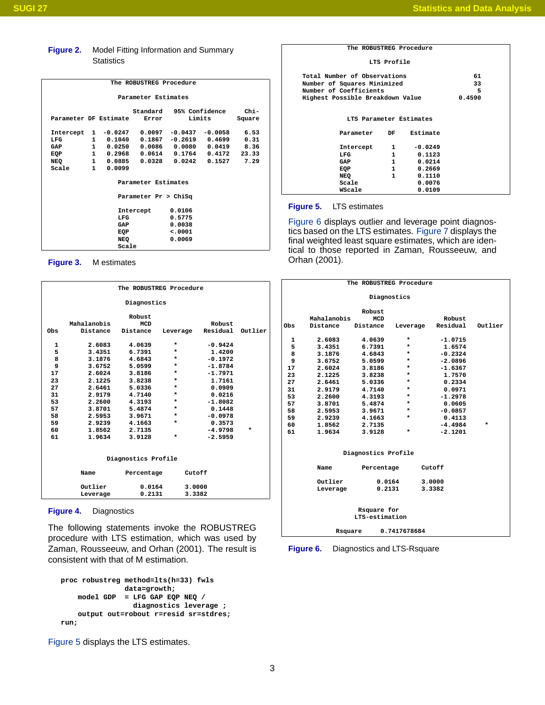## <span id="page-2-0"></span>**Figure 2.** Model Fitting Information and Summary **Statistics**

| The ROBUSTREG Procedure |              |                     |                           |           |                 |        |  |
|-------------------------|--------------|---------------------|---------------------------|-----------|-----------------|--------|--|
|                         |              |                     | Parameter Estimates       |           |                 |        |  |
|                         |              |                     | Standard                  |           | 95% Confidence  | $Chi-$ |  |
| Parameter DF Estimate   |              |                     | Error                     |           | Limits          | Square |  |
|                         |              |                     |                           |           |                 |        |  |
| Intercept               | $\mathbf{1}$ | $-0.0247$           | 0.0097                    | $-0.0437$ | $-0.0058$       | 6.53   |  |
| LFG                     |              | 1 0.1040            | 0.1867                    | $-0.2619$ | 0.4699          | 0.31   |  |
| GAP                     |              |                     | 1  0.0250  0.0086  0.0080 |           | 0.0419          | 8.36   |  |
| EQP                     |              |                     | 1 0.2968 0.0614           |           | $0.1764$ 0.4172 | 23.33  |  |
| NEQ                     |              | 1 0.0885            | 0.0328                    | 0.0242    | 0.1527          | 7.29   |  |
| Scale                   |              | $1 \quad$<br>0.0099 |                           |           |                 |        |  |
|                         |              |                     |                           |           |                 |        |  |
|                         |              |                     | Parameter Estimates       |           |                 |        |  |
|                         |              |                     | Parameter Pr > ChiSq      |           |                 |        |  |
|                         |              |                     |                           |           |                 |        |  |
|                         |              |                     | Intercept                 | 0.0106    |                 |        |  |
|                         |              | LFG                 |                           | 0.5775    |                 |        |  |
|                         |              | GAP                 |                           | 0.0038    |                 |        |  |
|                         |              | EQP                 |                           | < .0001   |                 |        |  |
|                         |              | NEQ                 |                           | 0.0069    |                 |        |  |
|                         |              | Scale               |                           |           |                 |        |  |
|                         |              |                     |                           |           |                 |        |  |

<span id="page-2-1"></span>**Figure 3.** M estimates

| The ROBUSTREG Procedure |                     |            |          |           |         |  |  |  |  |  |
|-------------------------|---------------------|------------|----------|-----------|---------|--|--|--|--|--|
| Diagnostics             |                     |            |          |           |         |  |  |  |  |  |
| Robust                  |                     |            |          |           |         |  |  |  |  |  |
|                         | Mahalanobis         | <b>MCD</b> |          | Robust    |         |  |  |  |  |  |
| Obs                     | Distance            | Distance   | Leverage | Residual  | Outlier |  |  |  |  |  |
| 1                       | 2.6083              | 4.0639     | $\star$  | $-0.9424$ |         |  |  |  |  |  |
| 5                       | 3.4351              | 6.7391     | *        | 1.4200    |         |  |  |  |  |  |
| 8                       | 3.1876              | 4.6843     | $\star$  | $-0.1972$ |         |  |  |  |  |  |
| 9                       | 3.6752              | 5.0599     | $\star$  | $-1.8784$ |         |  |  |  |  |  |
| 17                      | 2.6024              | 3.8186     | $\star$  | $-1.7971$ |         |  |  |  |  |  |
| 23                      | 2.1225              | 3.8238     | $\star$  | 1.7161    |         |  |  |  |  |  |
| 27                      | 2.6461              | 5.0336     | $\star$  | 0.0909    |         |  |  |  |  |  |
| 31                      | 2.9179              | 4.7140     | $\star$  | 0.0216    |         |  |  |  |  |  |
| 53                      | 2.2600              | 4.3193     | $\star$  | $-1.8082$ |         |  |  |  |  |  |
| 57                      | 3.8701              | 5.4874     | *        | 0.1448    |         |  |  |  |  |  |
| 58                      | 2.5953              | 3.9671     | $\star$  | $-0.0978$ |         |  |  |  |  |  |
| 59                      | 2.9239              | 4.1663     | *        | 0.3573    |         |  |  |  |  |  |
| 60                      | 1.8562              | 2.7135     |          | $-4.9798$ | *       |  |  |  |  |  |
| 61                      | 1.9634              | 3.9128     | $\star$  | $-2.5959$ |         |  |  |  |  |  |
|                         | Diagnostics Profile |            |          |           |         |  |  |  |  |  |
|                         | Name                |            |          | Cutoff    |         |  |  |  |  |  |
|                         |                     | Percentage |          |           |         |  |  |  |  |  |
|                         | Outlier             | 0.0164     |          | 3.0000    |         |  |  |  |  |  |
|                         | Leverage            | 0.2131     |          | 3.3382    |         |  |  |  |  |  |
|                         |                     |            |          |           |         |  |  |  |  |  |

#### <span id="page-2-2"></span>**Figure 4.** Diagnostics

The following statements invoke the ROBUSTREG procedure with LTS estimation, which was used by Zaman, Rousseeuw, and Orhan (2001). The result is consistent with that of M estimation.

```
proc robustreg method=lts(h=33) fwls
               data=growth;
   model GDP = LFG GAP EQP NEQ /
                 diagnostics leverage ;
    output out=robout r=resid sr=stdres;
run;
```
[Figure 5](#page-2-3) displays the LTS estimates.

#### **The ROBUSTREG Procedure**

#### **LTS Profile**

| Total Number of Observations     |              |           | 61     |  |
|----------------------------------|--------------|-----------|--------|--|
| Number of Squares Minimized      |              |           | 33     |  |
| Number of Coefficients           |              |           | 5      |  |
| Highest Possible Breakdown Value |              |           | 0.4590 |  |
|                                  |              |           |        |  |
|                                  |              |           |        |  |
| LTS Parameter Estimates          |              |           |        |  |
|                                  |              |           |        |  |
| Parameter                        | DF           | Estimate  |        |  |
|                                  |              |           |        |  |
| Intercept                        | $\mathbf{1}$ | $-0.0249$ |        |  |
| LFG                              | $\mathbf{1}$ | 0.1123    |        |  |
| GAP                              | $\mathbf{1}$ | 0.0214    |        |  |
| EQP                              | 1            | 0.2669    |        |  |
| NEQ                              | 1            | 0.1110    |        |  |
| Scale                            |              | 0.0076    |        |  |
| WScale                           |              | 0.0109    |        |  |
|                                  |              |           |        |  |

#### <span id="page-2-3"></span>**Figure 5.** LTS estimates

[Figure 6](#page-2-4) displays outlier and leverage point diagnostics based on the LTS estimates. [Figure 7](#page-3-0) displays the final weighted least square estimates, which are identical to those reported in Zaman, Rousseeuw, and Orhan (2001).

|     |             | The ROBUSTREG Procedure |              |                   |         |
|-----|-------------|-------------------------|--------------|-------------------|---------|
|     |             | Diagnostics             |              |                   |         |
|     |             |                         |              |                   |         |
|     |             | Robust                  |              |                   |         |
|     | Mahalanobis | MCD                     |              | Robust            |         |
| Obs | Distance    | Distance                |              | Leverage Residual | Outlier |
| 1   | 2.6083      | 4.0639                  | *            | $-1.0715$         |         |
| 5   | 3.4351      | 6.7391                  | $^\star$     | 1.6574            |         |
| 8   | 3.1876      | 4.6843                  | $^\star$     | $-0.2324$         |         |
| 9   | 3.6752      | 5.0599                  | $^\star$     | $-2.0896$         |         |
| 17  | 2.6024      | 3.8186                  | $^\star$     | $-1.6367$         |         |
| 23  | 2.1225      | 3.8238                  | $^\star$     | 1.7570            |         |
| 27  | 2.6461      | 5.0336                  | $\star$      | 0.2334            |         |
| 31  | 2.9179      | 4.7140                  | $\ast$       | 0.0971            |         |
| 53  | 2.2600      | 4.3193                  | $\star$      | $-1.2978$         |         |
| 57  | 3.8701      | 5.4874                  | $^\ast$      | 0.0605            |         |
| 58  | 2.5953      | 3.9671                  | $\star$      | $-0.0857$         |         |
| 59  | 2.9239      | 4.1663                  | $^\star$     | 0.4113            |         |
| 60  | 1.8562      | 2.7135                  |              | $-4.4984$         | $\star$ |
| 61  | 1.9634      | 3.9128                  | $\star$      | $-2.1201$         |         |
|     |             |                         |              |                   |         |
|     |             | Diagnostics Profile     |              |                   |         |
|     | Name        | Percentage              |              | Cutoff            |         |
|     | Outlier     | 0.0164                  |              | 3.0000            |         |
|     | Leverage    | 0.2131                  |              | 3.3382            |         |
|     |             |                         |              |                   |         |
|     |             | Rsquare for             |              |                   |         |
|     |             | LTS-estimation          |              |                   |         |
|     | Rsquare     |                         | 0.7417678684 |                   |         |

<span id="page-2-4"></span>**Figure 6.** Diagnostics and LTS-Rsquare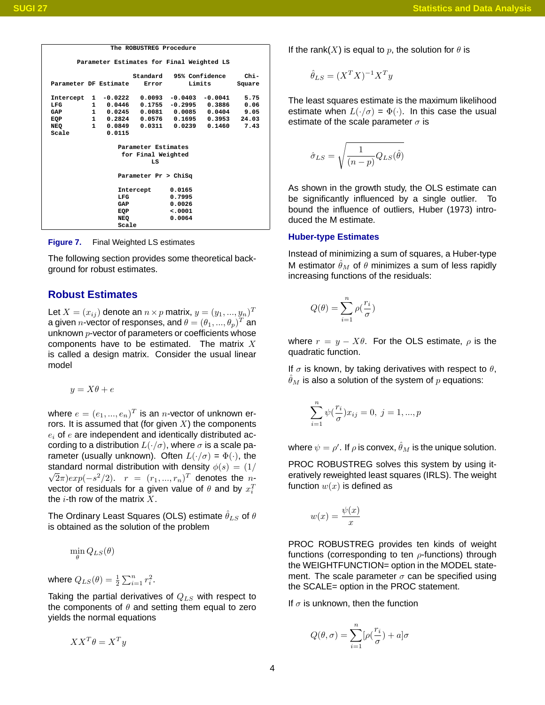| The ROBUSTREG Procedure                                           |  |
|-------------------------------------------------------------------|--|
| Parameter Estimates for Final Weighted LS                         |  |
|                                                                   |  |
| Standard 95% Confidence<br>$chi -$                                |  |
| Limits<br>Parameter DF Estimate<br>Error<br>Square                |  |
|                                                                   |  |
| 0.0093<br>$1 - 0.0222$<br>$-0.0403 - 0.0041$<br>5.75<br>Intercept |  |
| 1 0.0446<br>$0.1755 - 0.2995 0.3886$<br>0.06<br>LFG               |  |
| 1 0.0245<br>$0.0081$ $0.0085$ $0.0404$<br>9.05<br>GAP             |  |
| 1 0.2824 0.0576 0.1695 0.3953<br>24.03<br>EQP                     |  |
| 1 0.0849<br>0.0311<br>0.0239<br>0.1460<br>7.43<br>NEO             |  |
| Scale<br>0.0115                                                   |  |
|                                                                   |  |
| Parameter Estimates                                               |  |
| for Final Weighted                                                |  |
| LS                                                                |  |
|                                                                   |  |
| Parameter Pr > ChiSq                                              |  |
|                                                                   |  |
| 0.0165<br>Intercept                                               |  |
| LFG<br>0.7995                                                     |  |
| 0.0026<br>GAP                                                     |  |
| < .0001<br>EQP                                                    |  |
| NEQ<br>0.0064                                                     |  |
| Scale                                                             |  |

<span id="page-3-0"></span>**Figure 7.** Final Weighted LS estimates

The following section provides some theoretical background for robust estimates.

# **Robust Estimates**

Let  $X=(x_{ij})$  denote an  $n\times p$  matrix,  $y=(y_1,...,y_n)^T$ a given  $n$ -vector of responses, and  $\theta = (\theta_1,...,\theta_p)^T$  an unknown  $p$ -vector of parameters or coefficients whose components have to be estimated. The matrix  $X$ is called a design matrix. Consider the usual linear model

$$
y = X\theta + e
$$

where  $e=(e_1,...,e_n)^T$  is an  $n$ -vector of unknown errors. It is assumed that (for given  $X$ ) the components  $e_i$  of  $e$  are independent and identically distributed according to a distribution  $L(\cdot/\sigma)$ , where  $\sigma$  is a scale parameter (usually unknown). Often  $L(\cdot/\sigma) = \Phi(\cdot)$ , the standard normal distribution with density  $\phi(s) = (1/\sqrt{2})$  $(\overline{2}\pi)exp(-s^2/2)$ .  $r~=~(r_1,...,r_n)^T$  denotes the  $n$ vector of residuals for a given value of  $\theta$  and by  $x_i^T$ the  $i$ -th row of the matrix  $X$ .

The Ordinary Least Squares (OLS) estimate  $\hat{\theta}_{LS}$  of  $\theta$ is obtained as the solution of the problem

$$
\min_{\theta} Q_{LS}(\theta)
$$

where  $Q_{LS}(\theta) = \frac{1}{2} \sum_{i=1}^{n} r_i^2$ .

Taking the partial derivatives of  $Q_{LS}$  with respect to the components of  $\theta$  and setting them equal to zero yields the normal equations

$$
XX^T\theta = X^T y
$$

If the rank(X) is equal to p, the solution for  $\theta$  is

$$
\hat{\theta}_{LS} = (X^T X)^{-1} X^T y
$$

The least squares estimate is the maximum likelihood estimate when  $L(\cdot/\sigma) = \Phi(\cdot)$ . In this case the usual estimate of the scale parameter  $\sigma$  is

$$
\hat{\sigma}_{LS} = \sqrt{\frac{1}{(n-p)}Q_{LS}(\hat{\theta})}
$$

As shown in the growth study, the OLS estimate can be significantly influenced by a single outlier. To bound the influence of outliers, Huber (1973) introduced the M estimate.

#### **Huber-type Estimates**

Instead of minimizing a sum of squares, a Huber-type M estimator  $\hat{\theta}_M$  of  $\theta$  minimizes a sum of less rapidly increasing functions of the residuals:

$$
Q(\theta) = \sum_{i=1}^{n} \rho(\frac{r_i}{\sigma})
$$

where  $r = y - X\theta$ . For the OLS estimate,  $\rho$  is the quadratic function.

If  $\sigma$  is known, by taking derivatives with respect to  $\theta$ ,  $\hat{\theta}_M$  is also a solution of the system of p equations:

$$
\sum_{i=1}^{n} \psi(\frac{r_i}{\sigma}) x_{ij} = 0, \ j = 1, ..., p
$$

where  $\psi=\rho'$ . If  $\rho$  is convex,  $\hat{\theta}_M$  is the unique solution.

PROC ROBUSTREG solves this system by using iteratively reweighted least squares (IRLS). The weight function  $w(x)$  is defined as

$$
w(x) = \frac{\psi(x)}{x}
$$

PROC ROBUSTREG provides ten kinds of weight functions (corresponding to ten  $\rho$ -functions) through the WEIGHTFUNCTION= option in the MODEL statement. The scale parameter  $\sigma$  can be specified using the SCALE= option in the PROC statement.

If  $\sigma$  is unknown, then the function

$$
Q(\theta, \sigma) = \sum_{i=1}^{n} [\rho(\frac{r_i}{\sigma}) + a]\sigma
$$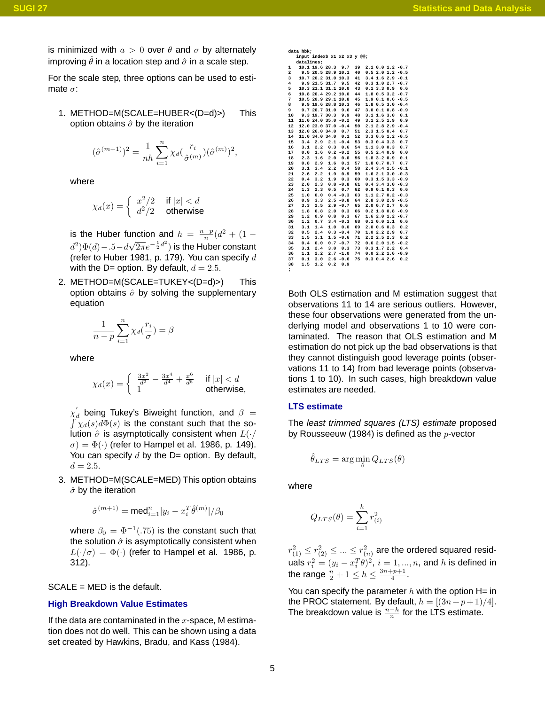is minimized with  $a > 0$  over  $\theta$  and  $\sigma$  by alternately improving  $\hat{\theta}$  in a location step and  $\hat{\sigma}$  in a scale step.

For the scale step, three options can be used to estimate  $\sigma$ :

1. METHOD=M(SCALE=HUBER<(D=d)>) This option obtains  $\hat{\sigma}$  by the iteration

$$
(\hat{\sigma}^{(m+1)})^2 = \frac{1}{nh} \sum_{i=1}^n \chi_d(\frac{r_i}{\hat{\sigma}^{(m)}})(\hat{\sigma}^{(m)})^2,
$$

where

$$
\chi_d(x) = \begin{cases} x^2/2 & \text{if } |x| < d \\ d^2/2 & \text{otherwise} \end{cases}
$$

is the Huber function and  $h = \frac{n-p}{n} (d^2 + (1$  $d^2\Psi(d) - 0.5-d$  $(\sqrt{2\pi}e^{-\frac{1}{2}d^2})$  is the Huber constant (refer to Huber 1981, p. 179). You can specify  $d$ with the D= option. By default,  $d = 2.5$ .

2. METHOD=M(SCALE=TUKEY<(D=d)>) This option obtains  $\hat{\sigma}$  by solving the supplementary equation

$$
\frac{1}{n-p}\sum_{i=1}^n \chi_d(\frac{r_i}{\sigma})=\beta
$$

where

$$
\chi_d(x) = \begin{cases} \frac{3x^2}{d^2} - \frac{3x^4}{d^4} + \frac{x^6}{d^6} & \text{if } |x| < d \\ 1 & \text{otherwise,} \end{cases}
$$

 $\chi_{d}^{'}$  being Tukey's Biweight function, and  $\beta$  =  $\int \chi_d(s) d\Phi(s)$  is the constant such that the solution  $\hat{\sigma}$  is asymptotically consistent when  $L(\cdot)$  $\sigma$ ) =  $\Phi(\cdot)$  (refer to Hampel et al. 1986, p. 149). You can specify  $d$  by the D= option. By default,  $d = 2.5.$ 

3. METHOD=M(SCALE=MED) This option obtains  $\hat{\sigma}$  by the iteration

$$
\hat{\sigma}^{(m+1)} = \text{med}^n_{i=1} |y_i - x_i^T\hat{\theta}^{(m)}|/\beta_0
$$

where  $\beta_0\,=\,\Phi^{-1}(.75)$  is the constant such that the solution  $\hat{\sigma}$  is asymptotically consistent when  $L(\cdot/\sigma) = \Phi(\cdot)$  (refer to Hampel et al. 1986, p. 312).

SCALE = MED is the default.

#### **High Breakdown Value Estimates**

If the data are contaminated in the  $x$ -space, M estimation does not do well. This can be shown using a data set created by Hawkins, Bradu, and Kass (1984).

|                         | data hbk:  |           |                     |                              |    |                 |                   |                         |
|-------------------------|------------|-----------|---------------------|------------------------------|----|-----------------|-------------------|-------------------------|
|                         |            |           |                     | input index\$ x1 x2 x3 y @@: |    |                 |                   |                         |
|                         | datalines; |           |                     |                              |    |                 |                   |                         |
| ı                       |            |           |                     | 10.1 19.6 28.3 9.7           | 39 |                 |                   | $2.1$ 0.0 1.2 -0.7      |
| $\overline{\mathbf{2}}$ |            |           |                     | 9.5 20.5 28.9 10.1           | 40 |                 | 0.52.01.2         | $-0.5$                  |
| 3                       |            |           | 10.7 20.2 31.0 10.3 |                              | 41 |                 |                   | $3.4$ 1.6 2.9 -0.1      |
| $\overline{\mathbf{4}}$ |            |           | 9.9 21.5 31.7 9.5   |                              | 42 |                 |                   | $0.3$ 1.0 2.7 $-0.7$    |
| 5                       |            |           |                     | 10.3 21.1 31.1 10.0          | 43 | 0.13.30.9       |                   | 0.6                     |
| 6                       |            |           |                     | 10.8 20.4 29.2 10.0          | 44 |                 |                   | $1.8$ 0.5 3.2 -0.7      |
| 7                       |            |           |                     | 10.5 20.9 29.1 10.8          | 45 |                 |                   | $1.9$ 0.1 0.6 -0.5      |
| 8                       |            |           |                     | 9.9 19.6 28.8 10.3           | 46 |                 |                   | $1.8$ 0.5 3.0 -0.4      |
| 9                       |            |           |                     | 9.7 20.7 31.0 9.6            | 47 |                 |                   | $3.0$ 0.1 0.8 -0.9      |
| 10                      |            |           |                     | 9.3 19.7 30.3 9.9            | 48 |                 | 3.1 1.6 3.0       | 0.1                     |
| 11                      |            |           |                     | 11.0 24.0 35.0 -0.2          | 49 |                 | 3.1 2.5 1.9       | 0.9                     |
| 12                      |            |           |                     | 12.0 23.0 37.0 -0.4          | 50 |                 |                   | $2.12.82.9 - 0.4$       |
| 13                      |            |           | 12.0 26.0 34.0 0.7  |                              | 51 |                 | $2.3$ 1.5 0.4     | 0.7                     |
| 14                      |            | 11.0 34.0 |                     | $34.0$ $0.1$                 | 52 |                 |                   | $3.3$ 0.6 1.2 -0.5      |
| 15                      | 3.4        |           |                     | $2.9$ $2.1 - 0.4$            | 53 |                 | $0.3$ $0.4$ $3.3$ | 0.7                     |
| 16                      | 3.1        | 2.2       |                     | $0.3 \t 0.6$                 | 54 |                 | 1.1 3.0 0.3       | 0.7                     |
| 17                      | 0.0        | 1.6       |                     | $0.2 - 0.2$                  | 55 |                 | 0.52.40.9         | 0.0                     |
| 18                      | 2.3        | 1.6       |                     | $2.0 \t 0.0$                 | 56 |                 | 1.8 3.2 0.9       | 0.1                     |
| 19                      | 0.8        | 2.9       | 1.6                 | 0.1                          | 57 |                 | 1.8 0.7 0.7       | 0.7                     |
| 20                      | 3.1        | 3.4       | 2.2                 | 0.4                          | 58 |                 |                   | $2.4$ 3.4 1.5 $-0.1$    |
| 21                      | 2.6        | 2.2       |                     | 1.9 0.9                      | 59 |                 |                   | $1.62.13.0 -0.3$        |
| 22                      | 0.4        | 3.2       |                     | 1.9 0.3                      | 60 |                 |                   | $0.3$ 1.5 3.3 -0.9      |
| 23                      | 2.0        | 2.3       |                     | $0.8 - 0.8$                  | 61 |                 |                   | $0.4$ 3.4 3.0 $-0.3$    |
| 24                      | 1.3        | 2.3       |                     | $0.5 \t 0.7$                 | 62 |                 |                   | $0.9$ $0.1$ $0.3$ $0.6$ |
| 25                      | 1.0        | 0.0       |                     | $0.4 - 0.3$                  | 63 |                 |                   | $1.1$ 2.7 0.2 -0.3      |
| 26                      | 0.9        | 3.3       |                     | $2.5 - 0.8$                  | 64 |                 |                   | $2.8$ 3.0 2.9 -0.5      |
| 27                      | 3.3        | 2.5       |                     | $2.9 - 0.7$                  | 65 |                 | 2.0 0.7 2.7       | 0.6                     |
| 28                      | 1.8        | 0.8       |                     | $2.0 \t 0.3$                 | 66 |                 |                   | $0.2$ 1.8 $0.8$ -0.9    |
| 29                      | 1.2        | 0.9       |                     | $0.8 \t 0.3$                 | 67 |                 |                   | $1.62.01.2 -0.7$        |
| 30                      | 1.2        | 0.7       |                     | $3.4 - 0.3$                  | 68 |                 | $0.1\;0.0\;1.1$   | 0.6                     |
| 31                      | 3.1        | 1.4       |                     | 1.0 0.0                      | 69 |                 | $2.0$ 0.6 0.3     | 0.2                     |
| 32                      | 0.5        | 2.4       |                     | $0.3 - 0.4$                  | 70 |                 | 1.0 2.2 2.9       | 0.7                     |
| 33                      | 1.5        | 3.1       |                     | $1.5 - 0.6$                  | 71 | 2.2 2.5 2.3     |                   | 0.2                     |
| 34                      | 0.4        | 0.0       |                     | $0.7 - 0.7$                  | 72 |                 |                   | $0.62.01.5 - 0.2$       |
| 35                      | 3.1        | 2.4       |                     | $3.0 \t 0.3$                 | 73 |                 | $0.3$ 1.7 2.2     | 0.4                     |
| 36                      | 1.1        | 2.2       |                     | $2.7 - 1.0$                  | 74 |                 |                   | $0.02.21.6 - 0.9$       |
| 37                      | 0.1        | 3.0       |                     | $2.6 - 0.6$                  | 75 | $0.3$ $0.4$ 2.6 |                   | 0.2                     |
| 38                      | 1.5        | 1.2       |                     | $0.2 \quad 0.9$              |    |                 |                   |                         |
| ;                       |            |           |                     |                              |    |                 |                   |                         |

Both OLS estimation and M estimation suggest that observations 11 to 14 are serious outliers. However, these four observations were generated from the underlying model and observations 1 to 10 were contaminated. The reason that OLS estimation and M estimation do not pick up the bad observations is that they cannot distinguish good leverage points (observations 11 to 14) from bad leverage points (observations 1 to 10). In such cases, high breakdown value estimates are needed.

#### **LTS estimate**

The least trimmed squares (LTS) estimate proposed by Rousseeuw (1984) is defined as the  $p$ -vector

$$
\hat{\theta}_{LTS} = \arg\min_{\theta} Q_{LTS}(\theta)
$$

where

$$
Q_{LTS}(\theta) = \sum_{i=1}^{h} r_{(i)}^2
$$

 $r_{(1)}^2 \le r_{(2)}^2 \le ... \le r_{(n)}^2$  are the ordered squared residuals  $r_i^2=(y_i-x_i^T\theta)^2, \, i=1,...,n,$  and  $h$  is defined in the range  $\frac{n}{2}+1\leq h\leq \frac{3n+p+1}{4}.$ 

You can specify the parameter  $h$  with the option H= in the PROC statement. By default,  $h = [(3n+p+1)/4]$ . The breakdown value is  $\frac{n-h}{n}$  for the LTS estimate.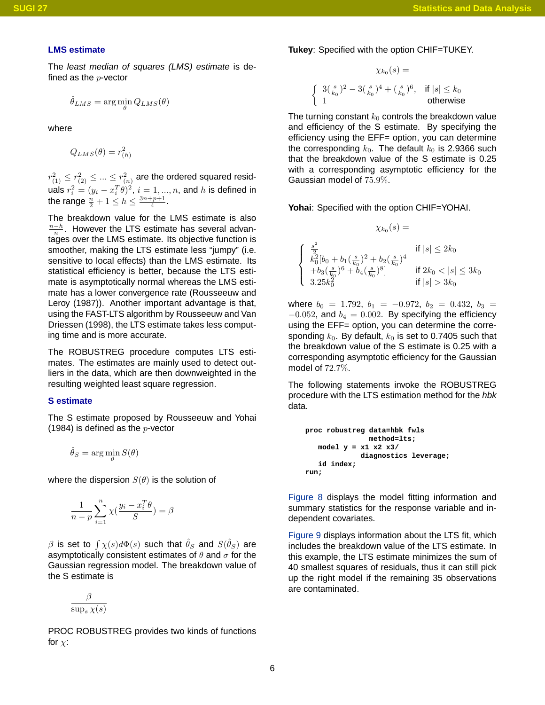#### **LMS estimate**

The least median of squares (LMS) estimate is defined as the  $p$ -vector

$$
\hat{\theta}_{LMS} = \arg\min_{\theta} Q_{LMS}(\theta)
$$

where

 $Q_{LMS}(\theta) = r_{(h)}^2$ 

 $r_{(1)}^2 \le r_{(2)}^2 \le ... \le r_{(n)}^2$  are the ordered squared residuals  $r_i^2=(y_i-x_i^T\theta)^2, \, i=1,...,n,$  and  $h$  is defined in the range  $\frac{n}{2}+1\leq h\leq \frac{3n+p+1}{4}.$ 

The breakdown value for the LMS estimate is also  $\frac{n-h}{n}$ . However the LTS estimate has several advantages over the LMS estimate. Its objective function is smoother, making the LTS estimate less "jumpy" (i.e. sensitive to local effects) than the LMS estimate. Its statistical efficiency is better, because the LTS estimate is asymptotically normal whereas the LMS estimate has a lower convergence rate (Rousseeuw and Leroy (1987)). Another important advantage is that, using the FAST-LTS algorithm by Rousseeuw and Van Driessen (1998), the LTS estimate takes less computing time and is more accurate.

The ROBUSTREG procedure computes LTS estimates. The estimates are mainly used to detect outliers in the data, which are then downweighted in the resulting weighted least square regression.

## **S estimate**

The S estimate proposed by Rousseeuw and Yohai (1984) is defined as the  $p$ -vector

$$
\hat{\theta}_S = \arg\min_{\theta} S(\theta)
$$

where the dispersion  $S(\theta)$  is the solution of

$$
\frac{1}{n-p} \sum_{i=1}^{n} \chi(\frac{y_i - x_i^T \theta}{S}) = \beta
$$

 $\beta$  is set to  $\int \chi(s) d\Phi(s)$  such that  $\hat{\theta}_S$  and  $S(\hat{\theta}_S)$  are asymptotically consistent estimates of  $\theta$  and  $\sigma$  for the Gaussian regression model. The breakdown value of the S estimate is

$$
\frac{\beta}{\sup_s \chi(s)}
$$

PROC ROBUSTREG provides two kinds of functions for  $\chi$ :

**Tukey**: Specified with the option CHIF=TUKEY.

$$
\chi_{k_0}(s) =
$$
\n
$$
\begin{cases}\n3(\frac{s}{k_0})^2 - 3(\frac{s}{k_0})^4 + (\frac{s}{k_0})^6, & \text{if } |s| \le k_0 \\
1 & \text{otherwise}\n\end{cases}
$$

The turning constant  $k_0$  controls the breakdown value and efficiency of the S estimate. By specifying the efficiency using the EFF= option, you can determine the corresponding  $k_0$ . The default  $k_0$  is 2.9366 such that the breakdown value of the S estimate is 0.25 with a corresponding asymptotic efficiency for the Gaussian model of 75.9%.

**Yohai**: Specified with the option CHIF=YOHAI.

$$
\chi_{k_0}(s) =
$$

$$
\left\{\begin{array}{ll} \frac{s^2}{2} & \text{if } |s| \leq 2k_0\\ k_0^2 [b_0 + b_1(\frac{s}{k_0})^2 + b_2(\frac{s}{k_0})^4\\ +b_3(\frac{s}{k_0})^6 + b_4(\frac{s}{k_0})^8] & \text{if } 2k_0 < |s| \leq 3k_0\\ 3.25k_0^2 & \text{if } |s| > 3k_0 \end{array}\right.
$$

where  $b_0 = 1.792$ ,  $b_1 = -0.972$ ,  $b_2 = 0.432$ ,  $b_3 =$  $-0.052$ , and  $b_4 = 0.002$ . By specifying the efficiency using the EFF= option, you can determine the corresponding  $k_0$ . By default,  $k_0$  is set to 0.7405 such that the breakdown value of the S estimate is 0.25 with a corresponding asymptotic efficiency for the Gaussian model of 72.7%.

The following statements invoke the ROBUSTREG procedure with the LTS estimation method for the hbk data.

**proc robustreg data=hbk fwls method=lts; model y = x1 x2 x3/ diagnostics leverage; id index; run;**

[Figure 8](#page-6-0) displays the model fitting information and summary statistics for the response variable and independent covariates.

[Figure 9](#page-6-1) displays information about the LTS fit, which includes the breakdown value of the LTS estimate. In this example, the LTS estimate minimizes the sum of 40 smallest squares of residuals, thus it can still pick up the right model if the remaining 35 observations are contaminated.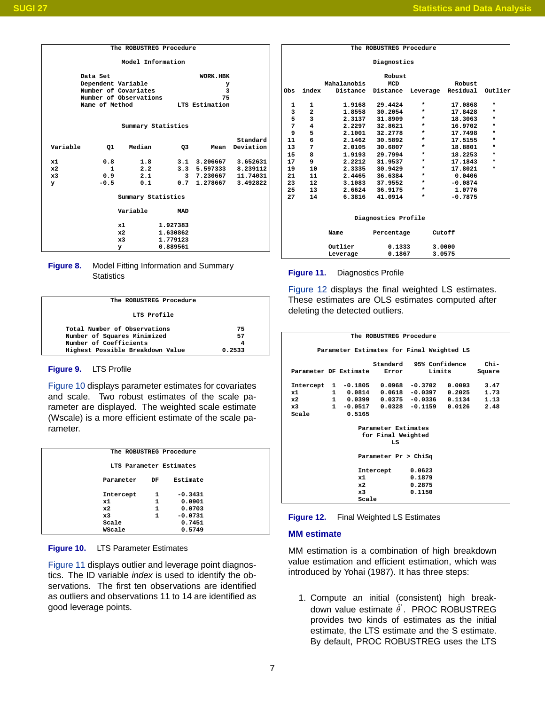| The ROBUSTREG Procedure |                    |                        |            |                       |           |  |  |  |  |  |
|-------------------------|--------------------|------------------------|------------|-----------------------|-----------|--|--|--|--|--|
| Model Information       |                    |                        |            |                       |           |  |  |  |  |  |
|                         | Data Set           |                        |            | WORK.HBK              |           |  |  |  |  |  |
|                         | Dependent Variable |                        |            | у                     |           |  |  |  |  |  |
|                         |                    | Number of Covariates   |            | 3                     |           |  |  |  |  |  |
|                         |                    | Number of Observations |            | 75                    |           |  |  |  |  |  |
|                         | Name of Method     |                        |            | LTS Estimation        |           |  |  |  |  |  |
|                         |                    |                        |            |                       |           |  |  |  |  |  |
|                         |                    |                        |            |                       |           |  |  |  |  |  |
|                         |                    | Summary Statistics     |            |                       |           |  |  |  |  |  |
|                         |                    |                        |            |                       |           |  |  |  |  |  |
|                         |                    |                        |            |                       | Standard  |  |  |  |  |  |
| Variable                | Q1                 | Median                 | Q3         | Mean                  | Deviation |  |  |  |  |  |
|                         |                    |                        |            |                       |           |  |  |  |  |  |
| x1                      | 0.8                | 1.8                    |            | 3.1 3.206667 3.652631 |           |  |  |  |  |  |
| x2                      | $\mathbf{1}$       | 2.2                    |            | 3.3 5.597333 8.239112 |           |  |  |  |  |  |
| x3                      | 0.9                | 2.1                    |            | 3 7.230667 11.74031   |           |  |  |  |  |  |
| У                       | $-0.5$             | 0.1                    |            | 0.7 1.278667 3.492822 |           |  |  |  |  |  |
|                         |                    |                        |            |                       |           |  |  |  |  |  |
|                         |                    | Summary Statistics     |            |                       |           |  |  |  |  |  |
|                         |                    | Variable               | <b>MAD</b> |                       |           |  |  |  |  |  |
|                         | x1                 |                        | 1.927383   |                       |           |  |  |  |  |  |
|                         | x2                 |                        | 1.630862   |                       |           |  |  |  |  |  |
|                         | x3                 |                        | 1.779123   |                       |           |  |  |  |  |  |
|                         | У                  |                        | 0.889561   |                       |           |  |  |  |  |  |

#### <span id="page-6-0"></span>**Figure 8.** Model Fitting Information and Summary **Statistics**

| The ROBUSTREG Procedure                                     |          |  |
|-------------------------------------------------------------|----------|--|
| LTS Profile                                                 |          |  |
| Total Number of Observations<br>Number of Squares Minimized | 75<br>57 |  |
| Number of Coefficients<br>Highest Possible Breakdown Value  | 0.2533   |  |
|                                                             |          |  |

## <span id="page-6-1"></span>**Figure 9.** LTS Profile

[Figure 10](#page-6-2) displays parameter estimates for covariates and scale. Two robust estimates of the scale parameter are displayed. The weighted scale estimate (Wscale) is a more efficient estimate of the scale parameter.

|    | The ROBUSTREG Procedure |              |           |  |
|----|-------------------------|--------------|-----------|--|
|    | LTS Parameter Estimates |              |           |  |
|    | Parameter               | DF           | Estimate  |  |
|    | Intercept               | 1            | $-0.3431$ |  |
| x1 |                         | 1            | 0.0901    |  |
| x2 |                         | 1            | 0.0703    |  |
| x3 |                         | $\mathbf{1}$ | $-0.0731$ |  |
|    | Scale                   |              | 0.7451    |  |
|    | WScale                  |              | 0.5749    |  |

<span id="page-6-2"></span>**Figure 10.** LTS Parameter Estimates

[Figure 11](#page-6-3) displays outlier and leverage point diagnostics. The ID variable index is used to identify the observations. The first ten observations are identified as outliers and observations 11 to 14 are identified as good leverage points.

|     | The ROBUSTREG Procedure |             |                     |          |           |         |  |  |  |  |
|-----|-------------------------|-------------|---------------------|----------|-----------|---------|--|--|--|--|
|     | Diagnostics             |             |                     |          |           |         |  |  |  |  |
|     |                         |             | Robust              |          |           |         |  |  |  |  |
|     |                         | Mahalanobis | <b>MCD</b>          |          | Robust    |         |  |  |  |  |
| Obs | index                   | Distance    | Distance            | Leverage | Residual  | Outlier |  |  |  |  |
| 1   | 1                       | 1.9168      | 29.4424             | *        | 17.0868   | $\star$ |  |  |  |  |
| 3   | $\overline{\mathbf{2}}$ |             | 1.8558 30.2054      | *        | 17.8428   | $\star$ |  |  |  |  |
| 5   | 3                       | 2.3137      | 31,8909             | *        | 18,3063   | $\star$ |  |  |  |  |
| 7   | 4                       |             | 2.2297 32.8621      | *        | 16.9702   | $\star$ |  |  |  |  |
| 9   | 5                       | 2.1001      | 32.2778             | *        | 17.7498   | $\star$ |  |  |  |  |
| 11  | 6                       | 2.1462      | 30.5892             | *        | 17.5155   | $\star$ |  |  |  |  |
| 13  | 7                       | 2.0105      | 30.6807             | *        | 18.8801   | $\star$ |  |  |  |  |
| 15  | 8                       |             | 1.9193 29.7994      | *        | 18.2253   | $\star$ |  |  |  |  |
| 17  | 9                       | 2.2212      | 31.9537             | *        | 17.1843   | $\star$ |  |  |  |  |
| 19  | 10                      | 2.3335      | 30.9429             | *        | 17.8021   | $\star$ |  |  |  |  |
| 21  | 11                      | 2.4465      | 36.6384             | *        | 0.0406    |         |  |  |  |  |
| 23  | 12                      |             | 3.1083 37.9552      | $\star$  | $-0.0874$ |         |  |  |  |  |
| 25  | 13                      |             | 2.6624 36.9175      | *        | 1.0776    |         |  |  |  |  |
| 27  | 14                      | 6.3816      | 41.0914             | *        | $-0.7875$ |         |  |  |  |  |
|     |                         |             | Diagnostics Profile |          |           |         |  |  |  |  |
|     |                         | Name        | Percentage          |          | Cutoff    |         |  |  |  |  |
|     |                         | Outlier     | 0.1333              |          | 3,0000    |         |  |  |  |  |
|     |                         | Leverage    | 0.1867              |          | 3.0575    |         |  |  |  |  |

## <span id="page-6-3"></span>**Figure 11.** Diagnostics Profile

[Figure 12](#page-6-4) displays the final weighted LS estimates. These estimates are OLS estimates computed after deleting the detected outliers.

|                       | The ROBUSTREG Procedure |  |              |                     |       |                   |  |                                           |         |  |
|-----------------------|-------------------------|--|--------------|---------------------|-------|-------------------|--|-------------------------------------------|---------|--|
|                       |                         |  |              |                     |       |                   |  | Parameter Estimates for Final Weighted LS |         |  |
|                       |                         |  |              | Standard            |       |                   |  | 95% Confidence                            | $chi -$ |  |
| Parameter DF Estimate |                         |  |              |                     | Error |                   |  | Limits                                    | Square  |  |
| Intercept             |                         |  | $1 - 0.1805$ |                     |       | $0.0968 - 0.3702$ |  | 0.0093                                    | 3.47    |  |
| x1                    |                         |  |              |                     |       |                   |  | 1  0.0814  0.0618  -0.0397  0.2025        | 1.73    |  |
| x2                    |                         |  |              |                     |       |                   |  | 1  0.0399  0.0375  -0.0336  0.1134        | 1.13    |  |
| x3                    |                         |  |              |                     |       |                   |  | 1 -0.0517  0.0328  -0.1159  0.0126        | 2.48    |  |
| Scale                 |                         |  | 0.5165       |                     |       |                   |  |                                           |         |  |
|                       |                         |  |              |                     |       |                   |  |                                           |         |  |
|                       |                         |  |              | Parameter Estimates |       |                   |  |                                           |         |  |
|                       |                         |  |              | for Final Weighted  |       |                   |  |                                           |         |  |
|                       |                         |  |              |                     | LS    |                   |  |                                           |         |  |
| Parameter Pr > ChiSq  |                         |  |              |                     |       |                   |  |                                           |         |  |
|                       |                         |  |              | Intercept           |       | 0.0623            |  |                                           |         |  |
|                       |                         |  | x1           |                     |       | 0.1879            |  |                                           |         |  |
|                       |                         |  | x2           |                     |       | 0.2875            |  |                                           |         |  |
|                       |                         |  | x3           |                     |       | 0.1150            |  |                                           |         |  |
|                       |                         |  | Scale        |                     |       |                   |  |                                           |         |  |

<span id="page-6-4"></span>**Figure 12.** Final Weighted LS Estimates

## **MM estimate**

MM estimation is a combination of high breakdown value estimation and efficient estimation, which was introduced by Yohai (1987). It has three steps:

1. Compute an initial (consistent) high breakdown value estimate  $\hat{\theta}^{'}$ . PROC ROBUSTREG provides two kinds of estimates as the initial estimate, the LTS estimate and the S estimate. By default, PROC ROBUSTREG uses the LTS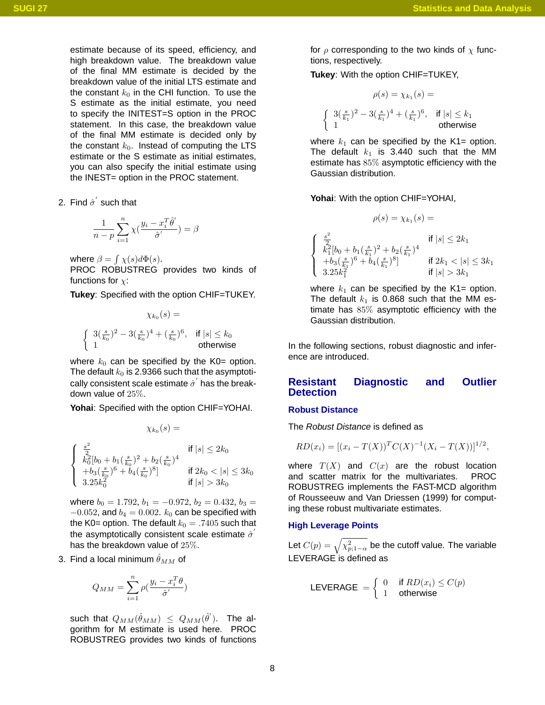estimate because of its speed, efficiency, and high breakdown value. The breakdown value of the final MM estimate is decided by the breakdown value of the initial LTS estimate and the constant  $k_0$  in the CHI function. To use the S estimate as the initial estimate, you need to specify the INITEST=S option in the PROC statement. In this case, the breakdown value of the final MM estimate is decided only by the constant  $k_0$ . Instead of computing the LTS estimate or the S estimate as initial estimates, you can also specify the initial estimate using the INEST= option in the PROC statement.

2. Find  $\hat{\sigma}^{'}$  such that

$$
\frac{1}{n-p}\sum_{i=1}^n \chi(\frac{y_i - x_i^T\hat{\theta}'}{\hat{\sigma}'}) = \beta
$$

where  $\beta = \int \chi(s) d\Phi(s)$ .

PROC ROBUSTREG provides two kinds of functions for  $\chi$ :

**Tukey**: Specified with the option CHIF=TUKEY.

$$
\chi_{k_0}(s) =
$$
\n
$$
\begin{cases}\n3(\frac{s}{k_0})^2 - 3(\frac{s}{k_0})^4 + (\frac{s}{k_0})^6, & \text{if } |s| \le k_0 \\
1 & \text{otherwise}\n\end{cases}
$$

where  $k_0$  can be specified by the K0= option. The default  $k_0$  is 2.9366 such that the asymptotically consistent scale estimate  $\hat{\sigma}^{'}$  has the breakdown value of 25%.

**Yohai**: Specified with the option CHIF=YOHAI.

$$
\chi_{k_0}(s) =
$$

$$
\begin{cases}\n\frac{s^2}{2} & \text{if } |s| \leq 2k_0 \\
k_0^2 [b_0 + b_1(\frac{s}{k_0})^2 + b_2(\frac{s}{k_0})^4 \\
+ b_3(\frac{s}{k_0})^6 + b_4(\frac{s}{k_0})^8] & \text{if } 2k_0 < |s| \leq 3k_0 \\
3.25k_0^2 & \text{if } |s| > 3k_0\n\end{cases}
$$

where  $b_0 = 1.792$ ,  $b_1 = -0.972$ ,  $b_2 = 0.432$ ,  $b_3 =$  $-0.052$ , and  $b_4 = 0.002$ .  $k_0$  can be specified with the K0= option. The default  $k_0 = .7405$  such that the asymptotically consistent scale estimate  $\hat{\sigma}^{'}$ has the breakdown value of 25%.

3. Find a local minimum  $\hat{\theta}_{MM}$  of

$$
Q_{MM} = \sum_{i=1}^{n} \rho(\frac{y_i - x_i^T \theta}{\hat{\sigma}'})
$$

such that  $Q_{MM}(\hat{\theta}_{MM}) \ \le \ Q_{MM}(\hat{\theta}^{'}).$  The algorithm for M estimate is used here. PROC ROBUSTREG provides two kinds of functions for  $\rho$  corresponding to the two kinds of  $\chi$  functions, respectively.

**Tukey**: With the option CHIF=TUKEY,

$$
\rho(s) = \chi_{k_1}(s) =
$$
  
 
$$
3(\frac{s}{k_1})^2 - 3(\frac{s}{k_1})^4 + (\frac{s}{k_1})^6, \text{ if } |s| \le k_1
$$
  
1 otherwise

where  $k_1$  can be specified by the K1= option. The default  $k_1$  is 3.440 such that the MM estimate has 85% asymptotic efficiency with the Gaussian distribution.

**Yohai**: With the option CHIF=YOHAI,

$$
\rho(s) = \chi_{k_1}(s) =
$$
\n
$$
\begin{cases}\n\frac{s^2}{2} & \text{if } |s| \le 2k_1 \\
k_1^2[b_0 + b_1(\frac{s}{k_1})^2 + b_2(\frac{s}{k_1})^4 \\
+ b_3(\frac{s}{k_1})^6 + b_4(\frac{s}{k_1})^8\n\end{cases}
$$
\nif  $2k_1 < |s| \le 3k_1$   
\nif  $|s| > 3k_1$ 

where  $k_1$  can be specified by the K1= option. The default  $k_1$  is 0.868 such that the MM estimate has 85% asymptotic efficiency with the Gaussian distribution.

In the following sections, robust diagnostic and inference are introduced.

## **Resistant Diagnostic and Outlier Detection**

### **Robust Distance**

 $\int$ 

The Robust Distance is defined as

$$
RD(x_i) = [(x_i - T(X))^T C(X)^{-1} (X_i - T(X))]^{1/2},
$$

where  $T(X)$  and  $C(x)$  are the robust location and scatter matrix for the multivariates. PROC ROBUSTREG implements the FAST-MCD algorithm of Rousseeuw and Van Driessen (1999) for computing these robust multivariate estimates.

## **High Leverage Points**

Let  $C(p)=\sqrt{\chi^2_{p;1-\alpha}}$  be the cutoff value. The variable LEVERAGE is defined as

$$
\textsf{LEVERAGE} = \left\{ \begin{array}{ll} 0 & \text{if } RD(x_i) \le C(p) \\ 1 & \text{otherwise} \end{array} \right.
$$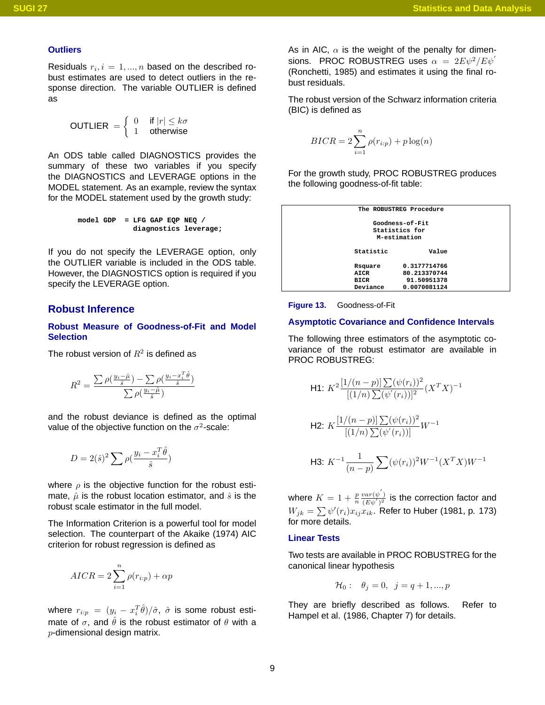#### **Outliers**

Residuals  $r_i, i = 1, ..., n$  based on the described robust estimates are used to detect outliers in the response direction. The variable OUTLIER is defined as

$$
\text{OUTLIER} = \left\{ \begin{array}{ll} 0 & \text{if } |r| \leq k\sigma \\ 1 & \text{otherwise} \end{array} \right.
$$

An ODS table called DIAGNOSTICS provides the summary of these two variables if you specify the DIAGNOSTICS and LEVERAGE options in the MODEL statement. As an example, review the syntax for the MODEL statement used by the growth study:

```
model GDP = LFG GAP EQP NEQ /
             diagnostics leverage;
```
If you do not specify the LEVERAGE option, only the OUTLIER variable is included in the ODS table. However, the DIAGNOSTICS option is required if you specify the LEVERAGE option.

# **Robust Inference**

#### **Robust Measure of Goodness-of-Fit and Model Selection**

The robust version of  $R^2$  is defined as

$$
R^{2} = \frac{\sum \rho(\frac{y_{i} - \hat{\mu}}{\hat{s}}) - \sum \rho(\frac{y_{i} - x_{i}^{T}\hat{\theta}}{\hat{s}})}{\sum \rho(\frac{y_{i} - \hat{\mu}}{\hat{s}})}
$$

and the robust deviance is defined as the optimal value of the objective function on the  $\sigma^2$ -scale:

$$
D = 2(\hat{s})^2 \sum \rho(\frac{y_i - x_i^T \hat{\theta}}{\hat{s}})
$$

where  $\rho$  is the objective function for the robust estimate,  $\hat{\mu}$  is the robust location estimator, and  $\hat{s}$  is the robust scale estimator in the full model.

The Information Criterion is a powerful tool for model selection. The counterpart of the Akaike (1974) AIC criterion for robust regression is defined as

$$
AICR = 2\sum_{i=1}^{n} \rho(r_{i:p}) + \alpha p
$$

where  $r_{i:p}~=~(y_i~-~x_i^T\hat\theta)/\hat\sigma,~\hat\sigma$  is some robust estimate of  $\sigma$ , and  $\hat{\theta}$  is the robust estimator of  $\theta$  with a  $p$ -dimensional design matrix.

As in AIC,  $\alpha$  is the weight of the penalty for dimensions. PROC ROBUSTREG uses  $\alpha = 2E\psi^2/E\psi^2$ (Ronchetti, 1985) and estimates it using the final robust residuals.

The robust version of the Schwarz information criteria (BIC) is defined as

$$
BICR = 2\sum_{i=1}^{n} \rho(r_{i:p}) + p \log(n)
$$

For the growth study, PROC ROBUSTREG produces the following goodness-of-fit table:

| The ROBUSTREG Procedure<br>Goodness-of-Fit<br>Statistics for<br>M-estimation<br>Statistic<br>Value<br>0.3177714766<br>Rsquare<br>80.213370744<br>AICR<br>91.50951378<br><b>BICR</b><br>Deviance<br>0.0070081124 |  |  |  |  |  |  |
|-----------------------------------------------------------------------------------------------------------------------------------------------------------------------------------------------------------------|--|--|--|--|--|--|
|                                                                                                                                                                                                                 |  |  |  |  |  |  |
|                                                                                                                                                                                                                 |  |  |  |  |  |  |
|                                                                                                                                                                                                                 |  |  |  |  |  |  |
|                                                                                                                                                                                                                 |  |  |  |  |  |  |
|                                                                                                                                                                                                                 |  |  |  |  |  |  |
|                                                                                                                                                                                                                 |  |  |  |  |  |  |
|                                                                                                                                                                                                                 |  |  |  |  |  |  |



## **Asymptotic Covariance and Confidence Intervals**

The following three estimators of the asymptotic covariance of the robust estimator are available in PROC ROBUSTREG:

H1: 
$$
K^2 \frac{[1/(n-p)] \sum (\psi(r_i))^2}{[(1/n) \sum (\psi'(r_i))]^2} (X^T X)^{-1}
$$
  
\nH2:  $K \frac{[1/(n-p)] \sum (\psi(r_i))^2}{[(1/n) \sum (\psi'(r_i))]^2} W^{-1}$   
\nH3:  $K^{-1} \frac{1}{(n-p)} \sum (\psi(r_i))^2 W^{-1} (X^T X) W^{-1}$ 

where  $K = 1 + \frac{p}{n}$  $\frac{var(\psi')}{(E\psi')^2}$  is the correction factor and  $W_{jk}=\sum \psi'(r_i)x_{ij}x_{ik}.$  Refer to Huber (1981, p. 173) for more details.

#### **Linear Tests**

Two tests are available in PROC ROBUSTREG for the canonical linear hypothesis

$$
\mathcal{H}_0: \quad \theta_j = 0, \ \ j = q+1, ..., p
$$

They are briefly described as follows. Refer to Hampel et al. (1986, Chapter 7) for details.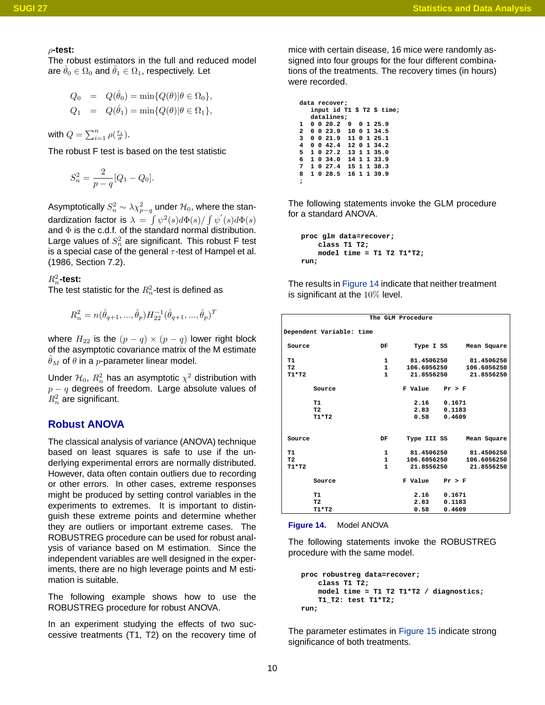#### ρ**-test:**

The robust estimators in the full and reduced model are  $\hat{\theta}_0 \in \Omega_0$  and  $\hat{\theta}_1 \in \Omega_1$ , respectively. Let

$$
Q_0 = Q(\hat{\theta}_0) = \min\{Q(\theta)|\theta \in \Omega_0\},
$$
  

$$
Q_1 = Q(\hat{\theta}_1) = \min\{Q(\theta)|\theta \in \Omega_1\},
$$

with  $Q = \sum_{i=1}^n \rho(\frac{r_i}{\sigma}).$ 

The robust F test is based on the test statistic

$$
S_n^2 = \frac{2}{p-q} [Q_1 - Q_0].
$$

Asymptotically  $S_n^2 \sim \lambda \chi^2_{p-q}$  under  ${\cal H}_0$ , where the standardization factor is  $\lambda = \int \psi^2(s) d\Phi(s) / \int \psi'(s) d\Phi(s)$ and  $\Phi$  is the c.d.f. of the standard normal distribution. Large values of  $S_n^2$  are significant. This robust F test is a special case of the general  $\tau$ -test of Hampel et al. (1986, Section 7.2).

 $R_n^2$ -test:

The test statistic for the  $R_n^2$ -test is defined as

$$
R_n^2=n(\hat{\theta}_{q+1},...,\hat{\theta}_p)H_{22}^{-1}(\hat{\theta}_{q+1},...,\hat{\theta}_p)^T
$$

where  $H_{22}$  is the  $(p - q) \times (p - q)$  lower right block of the asymptotic covariance matrix of the M estimate  $\hat{\theta}_M$  of  $\theta$  in a p-parameter linear model.

Under  $\mathcal{H}_0, \, R_n^2$  has an asymptotic  $\chi^2$  distribution with  $p - q$  degrees of freedom. Large absolute values of  $R_n^2$  are significant.

# **Robust ANOVA**

The classical analysis of variance (ANOVA) technique based on least squares is safe to use if the underlying experimental errors are normally distributed. However, data often contain outliers due to recording or other errors. In other cases, extreme responses might be produced by setting control variables in the experiments to extremes. It is important to distinguish these extreme points and determine whether they are outliers or important extreme cases. The ROBUSTREG procedure can be used for robust analysis of variance based on M estimation. Since the independent variables are well designed in the experiments, there are no high leverage points and M estimation is suitable.

The following example shows how to use the ROBUSTREG procedure for robust ANOVA.

In an experiment studying the effects of two successive treatments (T1, T2) on the recovery time of mice with certain disease, 16 mice were randomly assigned into four groups for the four different combinations of the treatments. The recovery times (in hours) were recorded.

```
data recover;
  input id T1 $ T2 $ time;
  datalines;
1 0 0 20.2 9 0 1 25.9
2 0 0 23.9 10 0 1 34.5
3 0 0 21.9 11 0 1 25.1
4 0 0 42.4 12 0 1 34.2
 5 1 0 27.2 13 1 1 35.0
6 1 0 34.0 14 1 1 33.9
  7 1 0 27.4 15 1 1 38.3
8 1 0 28.5 16 1 1 39.9
;
```
The following statements invoke the GLM procedure for a standard ANOVA.

```
proc glm data=recover;
    class T1 T2;
    model time = T1 T2 T1*T2;
run;
```
The results in [Figure 14](#page-9-0) indicate that neither treatment is significant at the  $10\%$  level.

|                |                          |              | The GLM Procedure  |                 |             |
|----------------|--------------------------|--------------|--------------------|-----------------|-------------|
|                | Dependent Variable: time |              |                    |                 |             |
| Source         |                          | DF           | Type I SS          |                 | Mean Square |
| т1             |                          | 1            | 81,4506250         |                 | 81.4506250  |
| T <sub>2</sub> |                          | $\mathbf{1}$ | 106.6056250        |                 | 106.6056250 |
| $T1*T2$        |                          | $\mathbf{1}$ | 21.8556250         |                 | 21.8556250  |
|                | Source                   |              | $F$ Value $Pr > F$ |                 |             |
|                | T1                       |              | 2.16               | 0.1671          |             |
|                | T <sub>2</sub>           |              | 2.83               | 0.1183          |             |
|                | $T1*T2$                  |              |                    | $0.58$ $0.4609$ |             |
| Source         |                          | DF           | Type III SS        |                 | Mean Square |
| T1             |                          | 1            | 81.4506250         |                 | 81,4506250  |
| T <sub>2</sub> |                          | $\mathbf{1}$ | 106.6056250        |                 | 106.6056250 |
| $T1*T2$        |                          | $\mathbf{1}$ | 21.8556250         |                 | 21.8556250  |
|                | Source                   |              | $F$ Value $Pr > F$ |                 |             |
|                | <b>T1</b>                |              | 2.16               | 0.1671          |             |
|                | T <sub>2</sub>           |              | 2.83               | 0.1183          |             |
|                | $T1*T2$                  |              | 0.58               | 0.4609          |             |
|                |                          |              |                    |                 |             |

<span id="page-9-0"></span>

The following statements invoke the ROBUSTREG procedure with the same model.

```
proc robustreg data=recover;
    class T1 T2;
    model time = T1 T2 T1*T2 / diagnostics;
    T1_T2: test T1*T2;
run;
```
The parameter estimates in [Figure 15](#page-10-0) indicate strong significance of both treatments.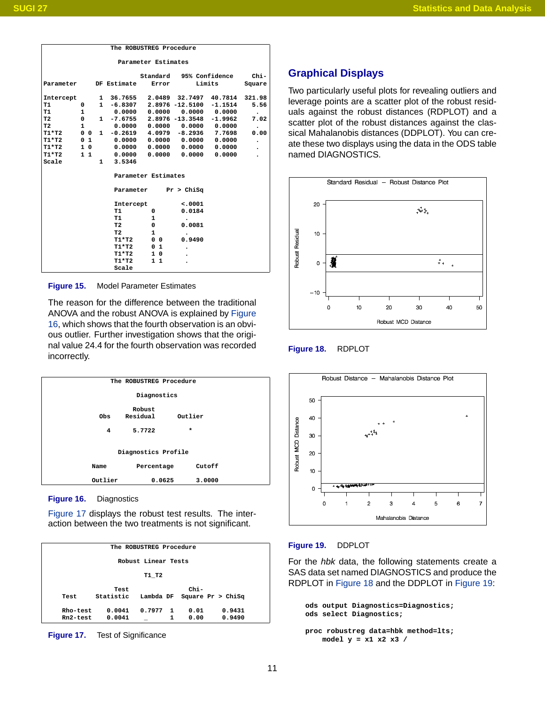| The ROBUSTREG Procedure                                     |  |                                       |                |                  |                                                                                                          |                                                                |                                                                                                                                                                                        |  |  |
|-------------------------------------------------------------|--|---------------------------------------|----------------|------------------|----------------------------------------------------------------------------------------------------------|----------------------------------------------------------------|----------------------------------------------------------------------------------------------------------------------------------------------------------------------------------------|--|--|
| Parameter Estimates                                         |  |                                       |                |                  |                                                                                                          |                                                                |                                                                                                                                                                                        |  |  |
| Standard<br>95% Confidence<br>$Chi-$<br>Parameter<br>Square |  |                                       |                |                  |                                                                                                          |                                                                |                                                                                                                                                                                        |  |  |
|                                                             |  |                                       |                |                  |                                                                                                          |                                                                |                                                                                                                                                                                        |  |  |
|                                                             |  |                                       |                |                  |                                                                                                          |                                                                | 321.98                                                                                                                                                                                 |  |  |
| 0                                                           |  |                                       |                |                  |                                                                                                          | $-1.1514$                                                      | 5.56                                                                                                                                                                                   |  |  |
| 1                                                           |  |                                       |                |                  |                                                                                                          | 0.0000                                                         | $\bullet$                                                                                                                                                                              |  |  |
| 0                                                           |  | 1                                     |                |                  |                                                                                                          | $-1.9962$                                                      | 7.02                                                                                                                                                                                   |  |  |
| $\mathbf{1}$                                                |  |                                       |                |                  |                                                                                                          | 0.0000                                                         | $\bullet$                                                                                                                                                                              |  |  |
|                                                             |  | 1.                                    |                |                  |                                                                                                          | 7.7698                                                         | 0.00                                                                                                                                                                                   |  |  |
|                                                             |  |                                       |                |                  |                                                                                                          | 0.0000                                                         | $\bullet$                                                                                                                                                                              |  |  |
|                                                             |  |                                       |                |                  |                                                                                                          | 0.0000                                                         | $\bullet$                                                                                                                                                                              |  |  |
|                                                             |  |                                       |                |                  |                                                                                                          | 0.0000                                                         |                                                                                                                                                                                        |  |  |
|                                                             |  | 1                                     | 3.5346         |                  |                                                                                                          |                                                                |                                                                                                                                                                                        |  |  |
|                                                             |  |                                       |                |                  |                                                                                                          |                                                                |                                                                                                                                                                                        |  |  |
|                                                             |  |                                       |                |                  |                                                                                                          |                                                                |                                                                                                                                                                                        |  |  |
|                                                             |  |                                       |                |                  | < .0001                                                                                                  |                                                                |                                                                                                                                                                                        |  |  |
|                                                             |  |                                       | т1             | 0                | 0.0184                                                                                                   |                                                                |                                                                                                                                                                                        |  |  |
|                                                             |  |                                       | T1             | 1                |                                                                                                          |                                                                |                                                                                                                                                                                        |  |  |
|                                                             |  |                                       | T <sub>2</sub> | 0                | 0.0081                                                                                                   |                                                                |                                                                                                                                                                                        |  |  |
|                                                             |  |                                       | T <sub>2</sub> | $\mathbf{1}$     |                                                                                                          |                                                                |                                                                                                                                                                                        |  |  |
|                                                             |  |                                       | $T1*T2$        | 0<br>$\mathbf 0$ | 0.9490                                                                                                   |                                                                |                                                                                                                                                                                        |  |  |
|                                                             |  |                                       | $T1*T2$        | 0 <sub>1</sub>   |                                                                                                          |                                                                |                                                                                                                                                                                        |  |  |
|                                                             |  |                                       | $T1*T2$        | 10               |                                                                                                          |                                                                |                                                                                                                                                                                        |  |  |
|                                                             |  |                                       | $T1*T2$        | $1\quad1$        |                                                                                                          |                                                                |                                                                                                                                                                                        |  |  |
|                                                             |  |                                       | Scale          |                  |                                                                                                          |                                                                |                                                                                                                                                                                        |  |  |
|                                                             |  | 0 <sub>1</sub><br>$1\,0$<br>$1\quad1$ | $0\quad 0$     | DF Estimate      | $1 - 6.8307$<br>0.0000<br>$-7.6755$<br>0.0000<br>$-0.2619$<br>0.0000<br>0.0000<br>Parameter<br>Intercept | Error<br>0.0000<br>0.0000<br>Parameter Estimates<br>Pr > Chisq | Limits<br>1 36.7655 2.0489 32.7497 40.7814<br>2.8976 -12.5100<br>0.0000<br>2.8976 -13.3548<br>0.0000 0.0000<br>4.0979 -8.2936<br>0.0000 0.0000<br>$0.0000$ $0.0000$ $0.0000$<br>0.0000 |  |  |

<span id="page-10-0"></span>**Figure 15.** Model Parameter Estimates

The reason for the difference between the traditional ANOVA and the robust ANOVA is explained by [Figure](#page-10-1) [16,](#page-10-1) which shows that the fourth observation is an obvious outlier. Further investigation shows that the original value 24.4 for the fourth observation was recorded incorrectly.

| The ROBUSTREG Procedure |         |                    |         |        |  |  |  |  |
|-------------------------|---------|--------------------|---------|--------|--|--|--|--|
| Diagnostics             |         |                    |         |        |  |  |  |  |
|                         | Obs     | Robust<br>Residual | Outlier |        |  |  |  |  |
|                         | 4       | 5.7722             | $\star$ |        |  |  |  |  |
| Diagnostics Profile     |         |                    |         |        |  |  |  |  |
|                         | Name    | Percentage         |         | Cutoff |  |  |  |  |
|                         | Outlier | 0.0625             |         | 3.0000 |  |  |  |  |
|                         |         |                    |         |        |  |  |  |  |

<span id="page-10-1"></span>**Figure 16.** Diagnostics

[Figure 17](#page-10-2) displays the robust test results. The interaction between the two treatments is not significant.

|          | The ROBUSTREG Procedure |           |           |    |        |                     |  |  |  |  |
|----------|-------------------------|-----------|-----------|----|--------|---------------------|--|--|--|--|
|          |                         |           |           |    |        |                     |  |  |  |  |
|          | Robust Linear Tests     |           |           |    |        |                     |  |  |  |  |
|          | T1 T2                   |           |           |    |        |                     |  |  |  |  |
|          |                         |           |           |    |        |                     |  |  |  |  |
|          |                         | Test      |           |    | $chi-$ |                     |  |  |  |  |
| Test     |                         | Statistic | Lambda DF |    |        | Square $Pr > Chisq$ |  |  |  |  |
|          |                         |           |           |    |        |                     |  |  |  |  |
| Rho-test |                         | 0.0041    | 0.7977    | -1 | 0.01   | 0.9431              |  |  |  |  |
| Rn2-test |                         | 0.0041    |           | 1  | 0.00   | 0.9490              |  |  |  |  |

<span id="page-10-2"></span>**Figure 17.** Test of Significance

# **Graphical Displays**

Two particularly useful plots for revealing outliers and leverage points are a scatter plot of the robust residuals against the robust distances (RDPLOT) and a scatter plot of the robust distances against the classical Mahalanobis distances (DDPLOT). You can create these two displays using the data in the ODS table named DIAGNOSTICS.



<span id="page-10-3"></span>**Figure 18.** RDPLOT



#### <span id="page-10-4"></span>**Figure 19.** DDPLOT

For the hbk data, the following statements create a SAS data set named DIAGNOSTICS and produce the RDPLOT in [Figure 18](#page-10-3) and the DDPLOT in [Figure 19:](#page-10-4)

```
ods output Diagnostics=Diagnostics;
ods select Diagnostics;
```

```
proc robustreg data=hbk method=lts;
   model y = x1 x2 x3 /
```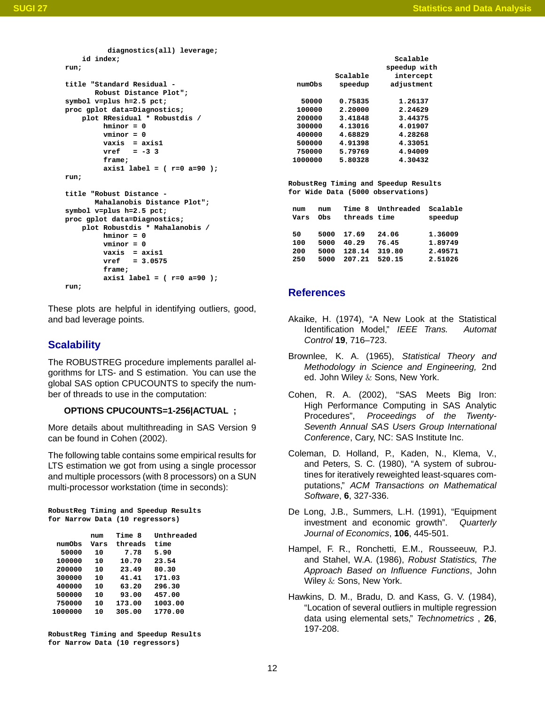```
diagnostics(all) leverage;
    id index;
run;
title "Standard Residual -
       Robust Distance Plot";
symbol v=plus h=2.5 pct;
proc gplot data=Diagnostics;
   plot RResidual * Robustdis /
         hminor = 0
         vminor = 0
         vaxis = axis1
         vref = -3 3
         frame;
         axis1 label = ( r=0 a=90 );
run;
title "Robust Distance -
       Mahalanobis Distance Plot";
symbol v=plus h=2.5 pct;
proc gplot data=Diagnostics;
    plot Robustdis * Mahalanobis /
        hminor = 0
         vminor = 0
         vaxis = axis1
         vref = 3.0575
         frame;
         axis1 label = ( r=0 a=90 );
run;
```
These plots are helpful in identifying outliers, good, and bad leverage points.

## **Scalability**

The ROBUSTREG procedure implements parallel algorithms for LTS- and S estimation. You can use the global SAS option CPUCOUNTS to specify the number of threads to use in the computation:

## **OPTIONS CPUCOUNTS=1-256|ACTUAL ;**

More details about multithreading in SAS Version 9 can be found in Cohen (2002).

The following table contains some empirical results for LTS estimation we got from using a single processor and multiple processors (with 8 processors) on a SUN multi-processor workstation (time in seconds):

```
RobustReg Timing and Speedup Results
for Narrow Data (10 regressors)
```

|         | num  | Time 8  | Unthreaded |
|---------|------|---------|------------|
| numObs  | Vars | threads | time       |
| 50000   | 10   | 7.78    | 5.90       |
| 100000  | 10   | 10.70   | 23.54      |
| 200000  | 10   | 23.49   | 80.30      |
| 300000  | 10   | 41.41   | 171.03     |
| 400000  | 10   | 63.20   | 296.30     |
| 500000  | 10   | 93.00   | 457.00     |
| 750000  | 10   | 173.00  | 1003.00    |
| 1000000 | 10   | 305.00  | 1770.00    |
|         |      |         |            |

**RobustReg Timing and Speedup Results for Narrow Data (10 regressors)**

|         |          | Scalable     |
|---------|----------|--------------|
|         |          | speedup with |
|         | Scalable | intercept    |
| numObs  | speedup  | adjustment   |
| 50000   | 0.75835  | 1.26137      |
| 100000  | 2,20000  | 2.24629      |
| 200000  | 3.41848  | 3.44375      |
| 300000  | 4.13016  | 4.01907      |
| 400000  | 4.68829  | 4.28268      |
| 500000  | 4.91398  | 4.33051      |
| 750000  | 5.79769  | 4.94009      |
| 1000000 | 5.80328  | 4.30432      |

**RobustReg Timing and Speedup Results for Wide Data (5000 observations)**

| num<br>Vars | num<br>Obs | <b>Time 8</b><br>threads time | Unthreaded | Scalable<br>speedup |
|-------------|------------|-------------------------------|------------|---------------------|
| 50          | 5000       | 17.69                         | 24.06      | 1.36009             |
| 100         | 5000       | 40.29                         | 76.45      | 1.89749             |
| 200         | 5000       | 128.14                        | 319.80     | 2.49571             |
| 250         | 5000       | 207.21                        | 520.15     | 2.51026             |

## **References**

- Akaike, H. (1974), "A New Look at the Statistical Identification Model," IEEE Trans. Automat Control **19**, 716–723.
- Brownlee, K. A. (1965), Statistical Theory and Methodology in Science and Engineering, 2nd ed. John Wiley & Sons, New York.
- Cohen, R. A. (2002), "SAS $^{\circledR}$  Meets Big Iron: High Performance Computing in SAS Analytic Procedures", Proceedings of the Twenty-Seventh Annual SAS Users Group International Conference, Cary, NC: SAS Institute Inc.
- Coleman, D. Holland, P., Kaden, N., Klema, V., and Peters, S. C. (1980), "A system of subroutines for iteratively reweighted least-squares computations," ACM Transactions on Mathematical Software, **6**, 327-336.
- De Long, J.B., Summers, L.H. (1991), "Equipment investment and economic growth". Quarterly Journal of Economics, **106**, 445-501.
- Hampel, F. R., Ronchetti, E.M., Rousseeuw, P.J. and Stahel, W.A. (1986), Robust Statistics, The Approach Based on Influence Functions, John Wiley & Sons, New York.
- Hawkins, D. M., Bradu, D. and Kass, G. V. (1984), "Location of several outliers in multiple regression data using elemental sets," Technometrics , **26**, 197-208.